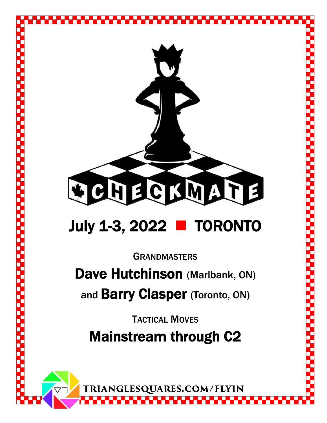

## July 1-3, 2022 **TORONTO**

**GRANDMASTERS** 

Dave Hutchinson (Marlbank, ON)

and **Barry Clasper** (Toronto, ON)

TACTICAL MOVES Mainstream through C2

TRIANGLESQUARES.COM/FLYIN